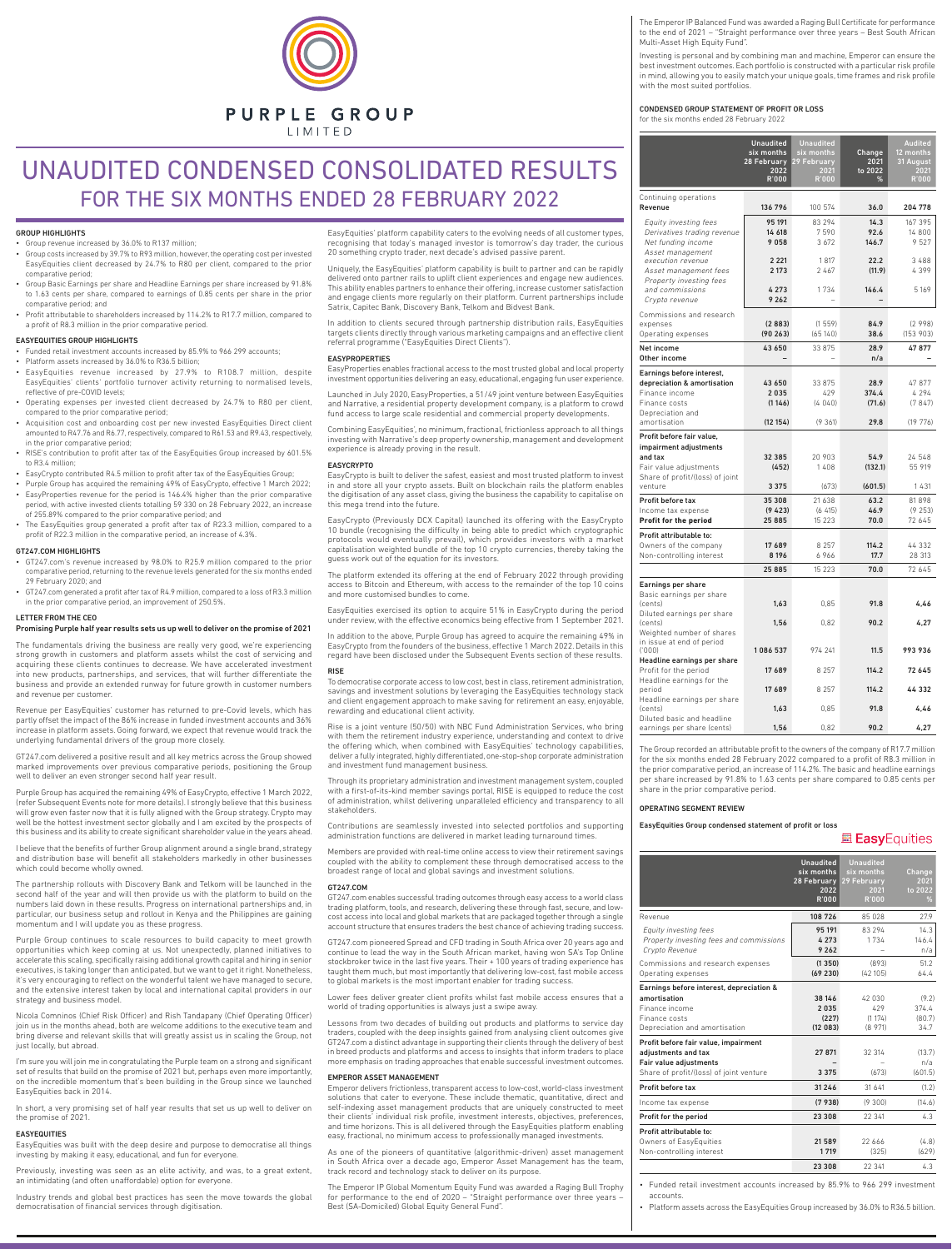

# UNAUDITED CONDENSED CONSOLIDATED RESULTS FOR THE SIX MONTHS ENDED 28 FEBRUARY 2022

#### **GROUP HIGHLIGHTS**

• Group revenue increased by 36.0% to R137 million;

- Group costs increased by 39.7% to R93 million, however, the operating cost per invested EasyEquities client decreased by 24.7% to R80 per client, compared to the prior comparative period;
- Group Basic Earnings per share and Headline Earnings per share increased by 91.8% to 1.63 cents per share, compared to earnings of 0.85 cents per share in the prior comparative period; and
- Profit attributable to shareholders increased by 114.2% to R17.7 million, compared to a profit of R8.3 million in the prior comparative period.

## EASYEQUITIES GROUP HIGHLIGHTS

• Funded retail investment accounts increased by 85.9% to 966 299 accounts;

- Platform assets increased by 36.0% to R36.5 billion; • EasyEquities revenue increased by 27.9% to R108.7 million, despite EasyEquities' clients' portfolio turnover activity returning to normalised levels,
- reflective of pre-COVID levels; • Operating expenses per invested client decreased by 24.7% to R80 per client,
- compared to the prior comparative period; • Acquisition cost and onboarding cost per new invested EasyEquities Direct client amounted to R47.76 and R6.77, respectively, compared to R61.53 and R9.43, respectively,
- in the prior comparative period; • RISE's contribution to profit after tax of the EasyEquities Group increased by 601.5% to R3.4 million;
- EasyCrypto contributed R4.5 million to profit after tax of the EasyEquities Group;
- Purple Group has acquired the remaining 49% of EasyCrypto, effective 1 March 2022; • EasyProperties revenue for the period is 146.4% higher than the prior comparative period, with active invested clients totalling 59 330 on 28 February 2022, an increase of 255.89% compared to the prior comparative period; and
- The EasyEquities group generated a profit after tax of R23.3 million, compared to a profit of R22.3 million in the comparative period, an increase of 4.3%.

#### GT247.COM HIGHLIGHTS

- GT247.com's revenue increased by 98.0% to R25.9 million compared to the prior comparative period, returning to the revenue levels generated for the six months ended 29 February 2020; and
- GT247.com generated a profit after tax of R4.9 million, compared to a loss of R3.3 million in the prior comparative period, an improvement of 250.5%.

## LETTER FROM THE CEO

# Promising Purple half year results sets us up well to deliver on the promise of 2021

The fundamentals driving the business are really very good, we're experiencing strong growth in customers and platform assets whilst the cost of servicing and acquiring these clients continues to decrease. We have accelerated investment into new products, partnerships, and services, that will further differentiate the business and provide an extended runway for future growth in customer numbers and revenue per customer.

Revenue per EasyEquities' customer has returned to pre-Covid levels, which has partly offset the impact of the 86% increase in funded investment accounts and 36% increase in platform assets. Going forward, we expect that revenue would track the underlying fundamental drivers of the group more closely.

GT247.com delivered a positive result and all key metrics across the Group showed marked improvements over previous comparative periods, positioning the Group well to deliver an even stronger second half year result.

Purple Group has acquired the remaining 49% of EasyCrypto, effective 1 March 2022, (refer Subsequent Events note for more details). I strongly believe that this business will grow even faster now that it is fully aligned with the Group strategy. Crypto may well be the hottest investment sector globally and I am excited by the prospects of this business and its ability to create significant shareholder value in the years ahead.

I believe that the benefits of further Group alignment around a single brand, strategy and distribution base will benefit all stakeholders markedly in other businesses which could become wholly owned.

The partnership rollouts with Discovery Bank and Telkom will be launched in the second half of the year and will then provide us with the platform to build on the numbers laid down in these results. Progress on international partnerships and, in particular, our business setup and rollout in Kenya and the Philippines are gaining momentum and I will update you as these progress.

Purple Group continues to scale resources to build capacity to meet growth opportunities which keep coming at us. Not unexpectedly, planned initiatives to accelerate this scaling, specifically raising additional growth capital and hiring in senior executives, is taking longer than anticipated, but we want to get it right. Nonetheless, it's very encouraging to reflect on the wonderful talent we have managed to secure, and the extensive interest taken by local and international capital providers in our strategy and business model.

inos (Chief Risk Officer) and Rish Tandapany (Chief Operating Officer join us in the months ahead, both are welcome additions to the executive team and bring diverse and relevant skills that will greatly assist us in scaling the Group, not just locally, but abroad.

I'm sure you will join me in congratulating the Purple team on a strong and significant set of results that build on the promise of 2021 but, perhaps even more importantly, on the incredible momentum that's been building in the Group since we launched EasyEquities back in 2014.

In short, a very promising set of half year results that set us up well to deliver on the promise of 2021.

# EASYEQUITIES

EasyEquities was built with the deep desire and purpose to democratise all things investing by making it easy, educational, and fun for everyone.

Previously, investing was seen as an elite activity, and was, to a great extent, an intimidating (and often unaffordable) option for everyone.

Industry trends and global best practices has seen the move towards the global democratisation of financial services through digitisation.

EasyEquities' platform capability caters to the evolving needs of all customer types, recognising that today's managed investor is tomorrow's day trader, the curious 20 something crypto trader, next decade's advised passive parent.

Uniquely, the EasyEquities' platform capability is built to partner and can be rapidly delivered onto partner rails to uplift client experiences and engage new audiences. This ability enables partners to enhance their offering, increase customer satisfaction and engage clients more regularly on their platform. Current partnerships include Satrix, Capitec Bank, Discovery Bank, Telkom and Bidvest Bank.

In addition to clients secured through partnership distribution rails, EasyEquities targets clients directly through various marketing campaigns and an effective client referral programme ("EasyEquities Direct Clients").

# EASYPROPERTIES

EasyProperties enables fractional access to the most trusted global and local property investment opportunities delivering an easy, educational, engaging fun user experience.

Launched in July 2020, EasyProperties, a 51/49 joint venture between EasyEquities and Narrative, a residential property development company, is a platform to crowd fund access to large scale residential and commercial property developments.

Combining EasyEquities', no minimum, fractional, frictionless approach to all things investing with Narrative's deep property ownership, management and development experience is already proving in the result.

#### EASYCRYPTO

EasyCrypto is built to deliver the safest, easiest and most trusted platform to invest in and store all your crypto assets. Built on blockchain rails the platform enables the digitisation of any asset class, giving the business the capability to capitalise on this mega trend into the future.

EasyCrypto (Previously DCX Capital) launched its offering with the EasyCrypto 10 bundle (recognising the difficulty in being able to predict which cryptographic protocols would eventually prevail), which provides investors with a market capitalisation weighted bundle of the top 10 crypto currencies, thereby taking the guess work out of the equation for its investors.

The platform extended its offering at the end of February 2022 through providing access to Bitcoin and Ethereum, with access to the remainder of the top 10 coins and more customised bundles to come.

EasyEquities exercised its option to acquire 51% in EasyCrypto during the period under review, with the effective economics being effective from 1 September 2021.

In addition to the above, Purple Group has agreed to acquire the remaining 49% in EasyCrypto from the founders of the business, effective 1 March 2022. Details in this regard have been disclosed under the Subsequent Events section of these results.

# RISE

To democratise corporate access to low cost, best in class, retirement administration, savings and investment solutions by leveraging the EasyEquities technology stack and client engagement approach to make saving for retirement an easy, enjoyable, rewarding and educational client activity.

Rise is a joint venture (50/50) with NBC Fund Administration Services, who bring with them the retirement industry experience, understanding and context to drive the offering which, when combined with EasyEquities' technology capabilities, deliver a fully integrated, highly differentiated, one-stop-shop corporate administration and investment fund management business.

Through its proprietary administration and investment management system, coupled with a first-of-its-kind member savings portal, RISE is equipped to reduce the cost of administration, whilst delivering unparalleled efficiency and transparency to all stakeholders.

Contributions are seamlessly invested into selected portfolios and supporting administration functions are delivered in market leading turnaround times.

Members are provided with real-time online access to view their retirement savings coupled with the ability to complement these through democratised access to the broadest range of local and global savings and investment solutions.

#### GT247.COM

GT247.com enables successful trading outcomes through easy access to a world class trading platform, tools, and research, delivering these through fast, secure, and lowcost access into local and global markets that are packaged together through a single account structure that ensures traders the best chance of achieving trading success.

GT247.com pioneered Spread and CFD trading in South Africa over 20 years ago and continue to lead the way in the South African market, having won SA's Top Online stockbroker twice in the last five years. Their + 100 years of trading experience has taught them much, but most importantly that delivering low-cost, fast mobile access to global markets is the most important enabler for trading success.

Lower fees deliver greater client profits whilst fast mobile access ensures that a world of trading opportunities is always just a swipe away.

Lessons from two decades of building out products and platforms to service day traders, coupled with the deep insights gained from analysing client outcomes give GT247.com a distinct advantage in supporting their clients through the delivery of best in breed products and platforms and access to insights that inform traders to place more emphasis on trading approaches that enable successful investment outcomes.

## EMPEROR ASSET MANAGEMENT

Emperor delivers frictionless, transparent access to low-cost, world-class investment solutions that cater to everyone. These include thematic, quantitative, direct and self-indexing asset management products that are uniquely constructed to meet their clients' individual risk profile, investment interests, objectives, preferences, and time horizons. This is all delivered through the EasyEquities platform enabling easy, fractional, no minimum access to professionally managed investments.

As one of the pioneers of quantitative (algorithmic-driven) asset management in South Africa over a decade ago, Emperor Asset Management has the team, track record and technology stack to deliver on its purpose.

The Emperor IP Global Momentum Equity Fund was awarded a Raging Bull Trophy for performance to the end of 2020 – "Straight performance over three years – Best (SA-Domiciled) Global Equity General Fund".

The Emperor IP Balanced Fund was awarded a Raging Bull Certificate for performance to the end of 2021 – "Straight performance over three years – Best South African Multi-Asset High Equity Fund".

Investing is personal and by combining man and machine, Emperor can ensure the best investment outcomes. Each portfolio is constructed with a particular risk profile in mind, allowing you to easily match your unique goals, time frames and risk profile with the most suited portfolios.

## CONDENSED GROUP STATEMENT OF PROFIT OR LOSS for the six months ended 28 February 2022

|                                                                                                                                        | <b>Unaudited</b><br>six months<br>28 February<br>2022<br>R'000 | <b>Unaudited</b><br>six months<br>29 February<br>2021<br><b>R'000</b> | Change<br>2021<br>to 2022<br>%  | <b>Audited</b><br>12 months<br>31 August<br>2021<br><b>R'000</b> |
|----------------------------------------------------------------------------------------------------------------------------------------|----------------------------------------------------------------|-----------------------------------------------------------------------|---------------------------------|------------------------------------------------------------------|
| Continuing operations<br>Revenue                                                                                                       | 136 796                                                        | 100 574                                                               | 36.0                            | 204 778                                                          |
| Equity investing fees<br>Derivatives trading revenue<br>Net funding income<br>Asset management                                         | 95 191<br>14 618<br>9058                                       | 83 294<br>7590<br>3672                                                | 14.3<br>92.6<br>146.7           | 167 395<br>14 800<br>9527                                        |
| execution revenue<br>Asset management fees<br>Property investing fees<br>and commissions<br>Crypto revenue                             | 2 2 2 1<br>2 1 7 3<br>4 2 7 3<br>9 2 6 2                       | 1817<br>2467<br>1734                                                  | 22.2<br>(11.9)<br>146.4         | 3 4 8 8<br>4399<br>5169                                          |
| Commissions and research<br>expenses<br>Operating expenses                                                                             | (2883)<br>(90263)                                              | (1559)<br>(65140)                                                     | 84.9<br>38.6                    | (2998)<br>(153903)                                               |
| Net income<br>Other income                                                                                                             | 43 650                                                         | 33 875                                                                | 28.9<br>n/a                     | 47877                                                            |
| Earnings before interest,<br>depreciation & amortisation<br>Finance income<br>Finance costs<br>Depreciation and<br>amortisation        | 43 650<br>2035<br>(1146)<br>(12154)                            | 33 875<br>429<br>(4040)<br>(9361)                                     | 28.9<br>374.4<br>(71.6)<br>29.8 | 47 877<br>4 2 9 4<br>(7847)<br>(19 776)                          |
| Profit before fair value,<br>impairment adjustments<br>and tax<br>Fair value adjustments<br>Share of profit/(loss) of joint<br>venture | 32 385<br>(452)<br>3 3 7 5                                     | 20 903<br>1408<br>(673)                                               | 54.9<br>(132.1)<br>(601.5)      | 24 548<br>55 919<br>1431                                         |
| Profit before tax<br>Income tax expense<br>Profit for the period                                                                       | 35 308<br>(9423)<br>25 885                                     | 21 6 3 8<br>(6415)<br>15 2 2 3                                        | 63.2<br>46.9<br>70.0            | 81898<br>(9253)<br>72 645                                        |
| Profit attributable to:<br>Owners of the company<br>Non-controlling interest                                                           | 17 689<br>8 1 9 6                                              | 8 2 5 7<br>6966                                                       | 114.2<br>17.7                   | 44 332<br>28 313                                                 |
|                                                                                                                                        | 25885                                                          | 15 2 2 3                                                              | 70.0                            | 72 645                                                           |
| Earnings per share<br>Basic earnings per share<br>(cents)<br>Diluted earnings per share<br>(cents)                                     | 1,63<br>1,56                                                   | 0,85<br>0,82                                                          | 91.8<br>90.2                    | 4,46<br>4.27                                                     |
| Weighted number of shares<br>in issue at end of period<br>(000)<br>Headline earnings per share                                         | 1086537                                                        | 974 241                                                               | 11.5                            | 993936                                                           |
| Profit for the period<br>Headline earnings for the<br>period<br>Headline earnings per share                                            | 17 689<br>17 689                                               | 8 2 5 7<br>8 2 5 7                                                    | 114.2<br>114.2                  | 72 645<br>44332                                                  |
| (cents)<br>Diluted basic and headline<br>earnings per share (cents)                                                                    | 1,63<br>1,56                                                   | 0,85<br>0,82                                                          | 91.8<br>90.2                    | 4,46<br>4,27                                                     |

The Group recorded an attributable profit to the owners of the company of R17.7 million for the six months ended 28 February 2022 compared to a profit of R8.3 million in the prior comparative period, an increase of 114.2%. The basic and headline earnings per share increased by 91.8% to 1.63 cents per share compared to 0.85 cents per share in the prior comparative period.

#### OPERATING SEGMENT REVIEW

EasyEquities Group condensed statement of profit or loss

# **量 Easy** Equities

|                                                                                                                                  | <b>Unaudited</b><br>six months<br>28 February<br>2022<br><b>R'000</b> | <b>Unaudited</b><br>six months<br>29 February<br>2021<br><b>R'000</b> | Change<br>2021<br>to 2022<br>%   |
|----------------------------------------------------------------------------------------------------------------------------------|-----------------------------------------------------------------------|-----------------------------------------------------------------------|----------------------------------|
| Revenue                                                                                                                          | 108 726                                                               | 85 028                                                                | 27.9                             |
| Equity investing fees<br>Property investing fees and commissions<br>Crypto Revenue                                               | 95 191<br>4 2 7 3<br>9 2 6 2                                          | 83 2 9 4<br>1 7 3 4                                                   | 14.3<br>146.4<br>n/a             |
| Commissions and research expenses<br>Operating expenses                                                                          | (1350)<br>(69230)                                                     | (893)<br>(42105)                                                      | 51.2<br>64.4                     |
| Earnings before interest, depreciation &<br>amortisation<br>Finance income<br>Finance costs<br>Depreciation and amortisation     | 38 146<br>2035<br>(227)<br>(12083)                                    | 42 030<br>429<br>(1174)<br>(8971)                                     | (9.2)<br>374.4<br>(80.7)<br>34.7 |
| Profit before fair value, impairment<br>adjustments and tax<br>Fair value adjustments<br>Share of profit/(loss) of joint venture | 27871<br>3 3 7 5                                                      | 32 314<br>(673)                                                       | (13.7)<br>n/a<br>(601.5)         |
| Profit before tax                                                                                                                | 31 24 6                                                               | 31 641                                                                | (1.2)                            |
| Income tax expense                                                                                                               | (7938)                                                                | (9300)                                                                | (14.6)                           |
| Profit for the period                                                                                                            | 23 308                                                                | 22 341                                                                | 4.3                              |
| Profit attributable to:<br>Owners of EasyEquities<br>Non-controlling interest                                                    | 21589<br>1 7 1 9<br>23 308                                            | 22 666<br>(325)<br>22 341                                             | (4.8)<br>(629)<br>4.3            |

• Funded retail investment accounts increased by 85.9% to 966 299 investment accounts.

• Platform assets across the EasyEquities Group increased by 36.0% to R36.5 billion.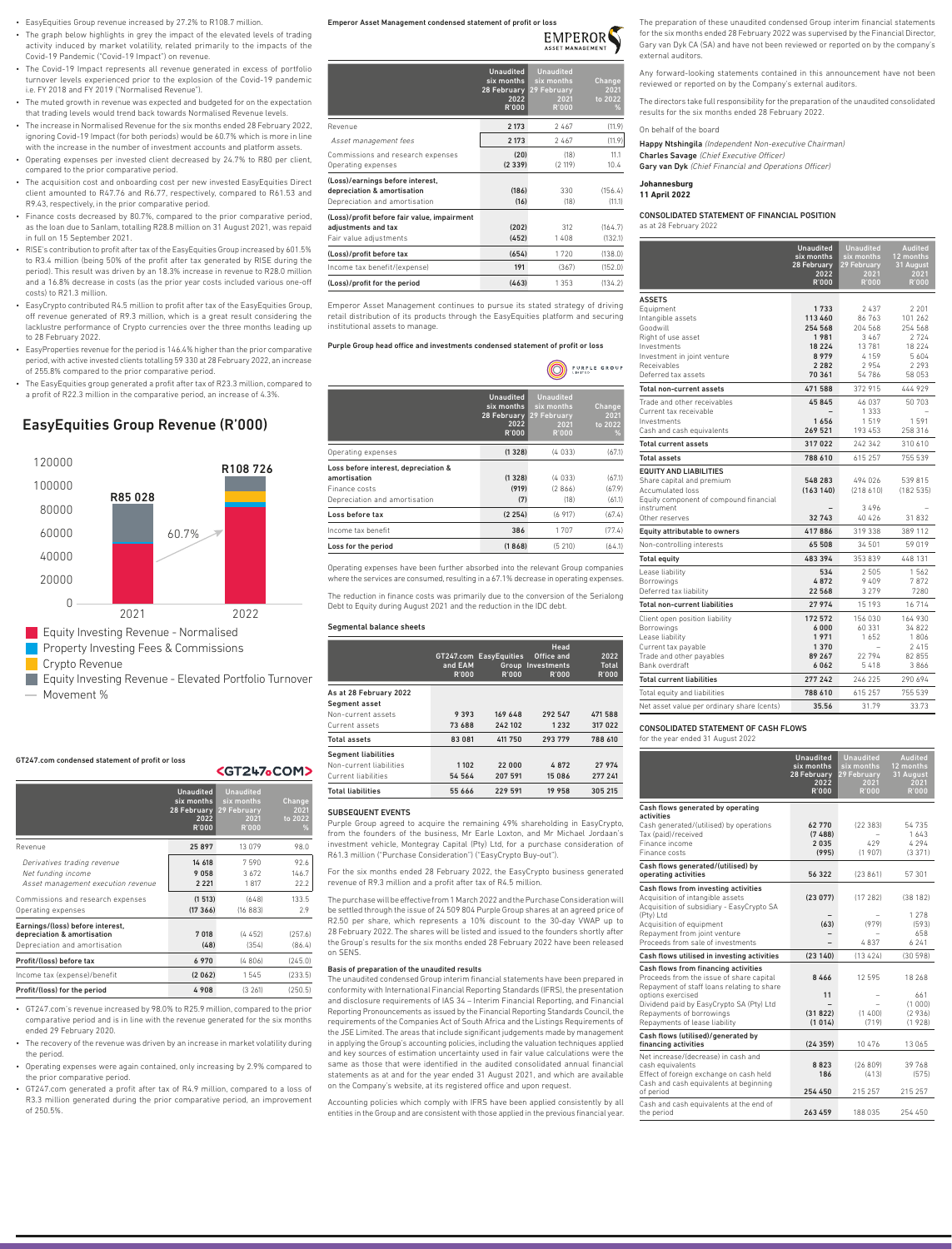- EasyEquities Group revenue increased by 27.2% to R108.7 million.
- The graph below highlights in grey the impact of the elevated levels of trading activity induced by market volatility, related primarily to the impacts of the Covid-19 Pandemic ("Covid-19 Impact") on revenue.
- The Covid-19 Impact represents all revenue generated in excess of portfolio turnover levels experienced prior to the explosion of the Covid-19 pandemic i.e. FY 2018 and FY 2019 ("Normalised Revenue").
- The muted growth in revenue was expected and budgeted for on the expectation that trading levels would trend back towards Normalised Revenue levels.
- The increase in Normalised Revenue for the six months ended 28 February 2022, ignoring Covid-19 Impact (for both periods) would be 60.7% which is more in line with the increase in the number of investment accounts and platform assets.
- Operating expenses per invested client decreased by 24.7% to R80 per client, compared to the prior comparative period.
- The acquisition cost and onboarding cost per new invested EasyEquities Direct client amounted to R47.76 and R6.77, respectively, compared to R61.53 and R9.43, respectively, in the prior comparative period.
- Finance costs decreased by 80.7%, compared to the prior comparative period, as the loan due to Sanlam, totalling R28.8 million on 31 August 2021, was repaid in full on 15 September 2021.
- RISE's contribution to profit after tax of the EasyEquities Group increased by 601.5% to R3.4 million (being 50% of the profit after tax generated by RISE during the period). This result was driven by an 18.3% increase in revenue to R28.0 million and a 16.8% decrease in costs (as the prior year costs included various one-off costs) to R21.3 million.
- EasyCrypto contributed R4.5 million to profit after tax of the EasyEquities Group, off revenue generated of R9.3 million, which is a great result considering the lacklustre performance of Crypto currencies over the three months leading up to 28 February 2022.
- EasyProperties revenue for the period is 146.4% higher than the prior comparative period, with active invested clients totalling 59 330 at 28 February 2022, an increase of 255.8% compared to the prior comparative period.
- The EasyEquities group generated a profit after tax of R23.3 million, compared to a profit of R22.3 million in the comparative period, an increase of 4.3%.

# EasyEquities Group Revenue (R'000)



Property Investing Fees & Commissions

Crypto Revenue

**Equity Investing Revenue - Elevated Portfolio Turnover** Movement %

<GT247.COM>

# GT247.com condensed statement of profit or loss

#### Unaudite six months 28 Februar 2022 R'000 Unaudited six months 29 February 2021 R'000 Change 2021 to 2022 % Revenue 25 897 13 079 98.0 Derivatives trading revenue 14 618 7 590 92.6 Net funding income  $\vert$  9058 3672 146.7 Asset management execution revenue  $\vert$  2221 1817 22.2 Commissions and research expenses (1 513) (648) 133.5 Operating expenses (17 366) (16 883) 2.9 Earnings/(loss) before interest, depreciation & amortisation **7 018** (4 452) (257.6) Depreciation and amortisation (48) (354) (86.4) **Profit/(loss) before tax 6 970** (4 806) (245.0) Income tax (expense)/benefit (2 062) 1 545 (233.5) **Profit/(loss) for the period 4 908** (3 261) (250.5)

• GT247.com's revenue increased by 98.0% to R25.9 million, compared to the prior comparative period and is in line with the revenue generated for the six months ended 29 February 2020.

• The recovery of the revenue was driven by an increase in market volatility during the period.

• Operating expenses were again contained, only increasing by 2.9% compared to the prior comparative period.

• GT247.com generated a profit after tax of R4.9 million, compared to a loss of R3.3 million generated during the prior comparative period, an improvement of 250.5%.

# Emperor Asset Management condensed statement of profit or loss

|                                                                                                  | <b>EMPEROR</b><br>ASSET MANAGEMENT                             |                                                                       |                                |
|--------------------------------------------------------------------------------------------------|----------------------------------------------------------------|-----------------------------------------------------------------------|--------------------------------|
|                                                                                                  | <b>Unaudited</b><br>six months<br>28 February<br>2022<br>R'000 | <b>Unaudited</b><br>six months<br>29 February<br>2021<br><b>R'000</b> | Change<br>2021<br>to 2022<br>% |
| Revenue                                                                                          | 2 1 7 3                                                        | 2 4 6 7                                                               | (11.9)                         |
| Asset management fees                                                                            | 2 1 7 3                                                        | 2 4 6 7                                                               | (11.9)                         |
| Commissions and research expenses<br>Operating expenses                                          | (20)<br>(2339)                                                 | (18)<br>(2 119)                                                       | 11.1<br>10.4                   |
| (Loss)/earnings before interest,<br>depreciation & amortisation<br>Depreciation and amortisation | (186)<br>(16)                                                  | 330<br>(18)                                                           | (156.4)<br>(11.1)              |
| (Loss)/profit before fair value, impairment<br>adjustments and tax<br>Fair value adjustments     | (202)<br>(452)                                                 | 312<br>1408                                                           | (164.7)<br>(132.1)             |
| (Loss)/profit before tax                                                                         | (654)                                                          | 1720                                                                  | (138.0)                        |
| Income tax benefit/(expense)                                                                     | 191                                                            | (367)                                                                 | (152.0)                        |
| (Loss)/profit for the period                                                                     | (463)                                                          | 1353                                                                  | (134.2)                        |

Emperor Asset Management continues to pursue its stated strategy of driving retail distribution of its products through the EasyEquities platform and securing institutional assets to manage.

# Purple Group head office and investments condensed statement of profit or loss

PURPLE GROUP

| 2022<br>R'000          | 2021<br><b>R'000</b>     | Change<br>2021<br>to 2022<br>%          |
|------------------------|--------------------------|-----------------------------------------|
| (1328)                 | (4033)                   | (67.1)                                  |
| (1328)<br>(919)<br>(7) | (4033)<br>(2866)<br>(18) | (67.1)<br>(67.9)<br>(61.1)              |
| (2254)                 | (6917)                   | (67.4)                                  |
| 386                    | 1707                     | (77.4)                                  |
| (1868)                 | (5210)                   | (64.1)                                  |
|                        | 28 February              | six months<br>six months<br>29 February |

Operating expenses have been further absorbed into the relevant Group companies where the services are consumed, resulting in a 67.1% decrease in operating expenses.

The reduction in finance costs was primarily due to the conversion of the Serialong Debt to Equity during August 2021 and the reduction in the IDC debt.

# Segmental balance sheets

|                                         | and EAM<br>R'000 | GT247.com EasyEquities<br>R'000 | Head<br>Office and<br>Group Investments<br>R'000 | 2022<br><b>Total</b><br>R'000 |
|-----------------------------------------|------------------|---------------------------------|--------------------------------------------------|-------------------------------|
| As at 28 February 2022<br>Segment asset |                  |                                 |                                                  |                               |
| Non-current assets                      | 9 3 9 3          | 169 648                         | 292 547                                          | 471 588                       |
| Current assets                          | 73 688           | 242 102                         | 1 2 3 2                                          | 317 022                       |
| Total assets                            | 83 081           | 411 750                         | 293 779                                          | 788 610                       |
| Segment liabilities                     |                  |                                 |                                                  |                               |
| Non-current liabilities                 | 1 1 0 2          | 22 000                          | 4872                                             | 27974                         |
| Current liabilities                     | 54 564           | 207 591                         | 15 08 6                                          | 277 241                       |
| <b>Total liabilities</b>                | 55 666           | 229 591                         | 19 958                                           | 305 215                       |

# SUBSEQUENT EVENTS

Purple Group agreed to acquire the remaining 49% shareholding in EasyCrypto, from the founders of the business, Mr Earle Loxton, and Mr Michael Jordaan's investment vehicle, Montegray Capital (Pty) Ltd, for a purchase consideration of R61.3 million ("Purchase Consideration") ("EasyCrypto Buy-out").

For the six months ended 28 February 2022, the EasyCrypto business generated revenue of R9.3 million and a profit after tax of R4.5 million.

The purchase will be effective from 1 March 2022 and the Purchase Consideration will be settled through the issue of 24 509 804 Purple Group shares at an agreed price of R2.50 per share, which represents a 10% discount to the 30-day VWAP up to 28 February 2022. The shares will be listed and issued to the founders shortly after the Group's results for the six months ended 28 February 2022 have been released on SENS.

# Basis of preparation of the unaudited results

The unaudited condensed Group interim financial statements have been prepared in conformity with International Financial Reporting Standards (IFRS), the presentation and disclosure requirements of IAS 34 – Interim Financial Reporting, and Financial Reporting Pronouncements as issued by the Financial Reporting Standards Council, the requirements of the Companies Act of South Africa and the Listings Requirements of the JSE Limited. The areas that include significant judgements made by management in applying the Group's accounting policies, including the valuation techniques applied and key sources of estimation uncertainty used in fair value calculations were the same as those that were identified in the audited consolidated annual financial statements as at and for the year ended 31 August 2021, and which are available on the Company's website, at its registered office and upon request.

Accounting policies which comply with IFRS have been applied consistently by all entities in the Group and are consistent with those applied in the previous financial year.

The preparation of these unaudited condensed Group interim financial statements for the six months ended 28 February 2022 was supervised by the Financial Director, Gary van Dyk CA (SA) and have not been reviewed or reported on by the company's external auditors.

Any forward-looking statements contained in this announcement have not been reviewed or reported on by the Company's external auditors.

The directors take full responsibility for the preparation of the unaudited consolidated results for the six months ended 28 February 2022.

# On behalf of the board

Happy Ntshingila (Independent Non-executive Chairman)

Charles Savage (Chief Executive Officer) Gary van Dyk (Chief Financial and Operations Officer)

**Johannesburg**

# **11 April 2022**

CONSOLIDATED STATEMENT OF FINANCIAL POSITION

as at 28 February 2022

|                                                                                                                                                                       | <b>Unaudited</b><br>six months<br>28 February<br>2022<br>R'000                 | <b>Unaudited</b><br>six months<br>29 February<br>2021<br><b>R'000</b>  | <b>Audited</b><br>12 months<br>31 August<br>2021<br><b>R'000</b>               |
|-----------------------------------------------------------------------------------------------------------------------------------------------------------------------|--------------------------------------------------------------------------------|------------------------------------------------------------------------|--------------------------------------------------------------------------------|
| <b>ASSETS</b><br>Equipment<br>Intangible assets<br>Goodwill<br>Right of use asset<br>Investments<br>Investment in joint venture<br>Receivables<br>Deferred tax assets | 1 7 3 3<br>113 460<br>254 568<br>1981<br>18 2 2 4<br>8979<br>2 2 8 2<br>70 361 | 2437<br>86763<br>204 568<br>3 4 6 7<br>13781<br>4159<br>2954<br>54786  | 2 2 0 1<br>101 262<br>254 568<br>2724<br>18 2 2 4<br>5604<br>2 2 9 3<br>58 053 |
| <b>Total non-current assets</b>                                                                                                                                       | 471588                                                                         | 372 915                                                                | 444 929                                                                        |
| Trade and other receivables<br>Current tax receivable<br>Investments<br>Cash and cash equivalents                                                                     | 45845<br>1656<br>269 521                                                       | 46 037<br>1 3 3 3<br>1519<br>193 453                                   | 50 703<br>1591<br>258 316                                                      |
| <b>Total current assets</b>                                                                                                                                           | 317022                                                                         | 242 342                                                                | 310 610                                                                        |
| <b>Total assets</b>                                                                                                                                                   | 788 610                                                                        | 615 257                                                                | 755 539                                                                        |
| <b>EQUITY AND LIABILITIES</b><br>Share capital and premium<br>Accumulated loss<br>Equity component of compound financial<br>instrument<br>Other reserves              | 548 283<br>(163140)<br>32743                                                   | 494 026<br>(218610)<br>3496<br>40 4 2 6                                | 539 815<br>(182535)<br>31832                                                   |
| Equity attributable to owners                                                                                                                                         | 417886                                                                         | 319 338                                                                | 389 112                                                                        |
| Non-controlling interests                                                                                                                                             | 65 508                                                                         | 34 501                                                                 | 59019                                                                          |
| <b>Total equity</b>                                                                                                                                                   | 483394                                                                         | 353839                                                                 | 448 131                                                                        |
| Lease liability<br>Borrowings<br>Deferred tax liability                                                                                                               | 534<br>4872<br>22 568                                                          | 2505<br>9409<br>3 2 7 9                                                | 1562<br>7872<br>7280                                                           |
| <b>Total non-current liabilities</b>                                                                                                                                  | 27974                                                                          | 15 193                                                                 | 16714                                                                          |
| Client open position liability<br>Borrowings<br>Lease liability<br>Current tax payable<br>Trade and other payables<br>Bank overdraft                                  | 172572<br>6000<br>1971<br>1370<br>89 267<br>6062                               | 156 030<br>60 331<br>1652<br>$\overline{\phantom{a}}$<br>22794<br>5418 | 164 930<br>34822<br>1806<br>2415<br>82 855<br>3866                             |
| <b>Total current liabilities</b>                                                                                                                                      | 277 242                                                                        | 246 225                                                                | 290 694                                                                        |
| Total equity and liabilities                                                                                                                                          | 788 610                                                                        | 615 257                                                                | 755 539                                                                        |
| Net asset value per ordinary share (cents)                                                                                                                            | 35.56                                                                          | 31.79                                                                  | 33.73                                                                          |

CONSOLIDATED STATEMENT OF CASH FLOWS for the year ended 31 August 2022

|                                                                                                                                              | <b>Unaudited</b><br>six months<br>28 February<br>2022<br>R'000 | <b>Unaudited</b><br>six months<br>29 February<br>2021<br><b>R'000</b> | <b>Audited</b><br>12 months<br>31 August<br>2021<br><b>R'000</b> |
|----------------------------------------------------------------------------------------------------------------------------------------------|----------------------------------------------------------------|-----------------------------------------------------------------------|------------------------------------------------------------------|
| Cash flows generated by operating<br>activities                                                                                              |                                                                |                                                                       |                                                                  |
| Cash generated/(utilised) by operations<br>Tax (paid)/received<br>Finance income<br>Finance costs                                            | 62770<br>(7488)<br>2035<br>(995)                               | (22383)<br>429<br>(1907)                                              | 54 735<br>1 643<br>4 2 9 4<br>(3371)                             |
| Cash flows generated/(utilised) by<br>operating activities                                                                                   | 56 322                                                         | (23861)                                                               | 57 301                                                           |
| Cash flows from investing activities<br>Acquisition of intangible assets<br>Acquisition of subsidiary - EasyCrypto SA                        | (23077)                                                        | (17282)                                                               | (38182)                                                          |
| (Pty) Ltd                                                                                                                                    |                                                                |                                                                       | 1 2 7 8                                                          |
| Acquisition of equipment                                                                                                                     | (63)                                                           | (979)                                                                 | (593)                                                            |
| Repayment from joint venture<br>Proceeds from sale of investments                                                                            |                                                                | 4837                                                                  | 658<br>6 2 4 1                                                   |
| Cash flows utilised in investing activities                                                                                                  | (23140)                                                        | (13424)                                                               | (30598)                                                          |
| Cash flows from financing activities                                                                                                         |                                                                |                                                                       |                                                                  |
| Proceeds from the issue of share capital                                                                                                     | 8466                                                           | 12595                                                                 | 18 268                                                           |
| Repayment of staff loans relating to share<br>options exercised                                                                              | 11                                                             |                                                                       | 661                                                              |
| Dividend paid by EasyCrypto SA (Pty) Ltd                                                                                                     |                                                                |                                                                       | (1000)                                                           |
| Repayments of borrowings                                                                                                                     | (31822)                                                        | (1400)                                                                | (2936)                                                           |
| Repayments of lease liability                                                                                                                | (1014)                                                         | (719)                                                                 | (1928)                                                           |
| Cash flows (utilised)/generated by<br>financing activities                                                                                   | (24359)                                                        | 10476                                                                 | 13 065                                                           |
| Net increase/(decrease) in cash and<br>cash equivalents<br>Effect of foreign exchange on cash held<br>Cash and cash equivalents at beginning | 8823<br>186                                                    | (26809)<br>(413)                                                      | 39 768<br>(575)                                                  |
| of period                                                                                                                                    | 254 450                                                        | 215 257                                                               | 215 257                                                          |
| Cash and cash equivalents at the end of<br>the period                                                                                        | 263459                                                         | 188035                                                                | 254 450                                                          |